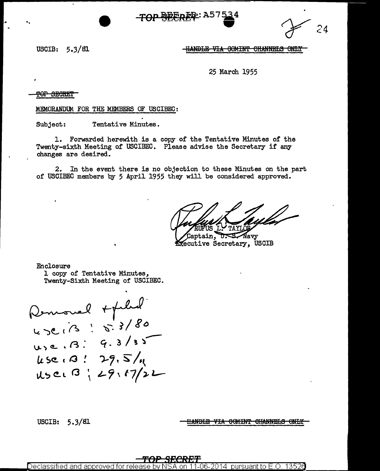$24$ 

USCIB:  $5.3/81$ 

<del>-HANDLE VIA COMINT CHANNELS ONLY</del>

25 March 1955

<del>POP SECRET</del>

MEMORANDUM FOR THE MEMBERS OF USCIBEC:

Tentative Minutes. Subject:

1. Forwarded herewith is a copy of the Tentative Minutes of the Twenty-sixth Meeting of USCIBEC. Please advise the Secretary if any changes are desired.

2. In the event there is no objection to these Minutes on the part of USCIBEC members by 5 April 1955 they will be considered approved.

aptain, -Navv

Secutive Secretary, USCIB

Enclosure 1 copy of Tentative Minutes, Twenty-Sixth Meeting of USCIBEC.

Remond + plus  $U_3e. B.9.313$  $45e.0$ :  $29.5/4$ User B; 29, 17/22

USCIB:  $5.3/81$ 

**HANDLE VIA COMINT CHANNELS ONLY** 

Declassified and approved for pursuant to E.O. 13526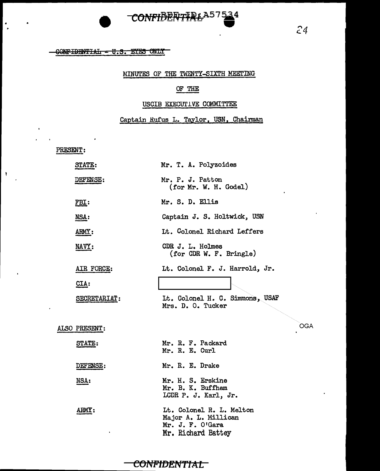

## CONFIDENTIAL - U.S. EYES ONLY

## MINUTES OF THE TWENTY-SIXTH MEETING

## OF THE

## USCIB EXECUTIVE COMMITTEE

Captain Rufus L. Taylor, USN, Chairman

PRESENT:

 $\bullet$ 

 $\overline{\mathbf{r}}$ 

 $\cdot$ 

| <b>STATE:</b>              | Mr. T. A. Polyzoides                                                                       |     |
|----------------------------|--------------------------------------------------------------------------------------------|-----|
| <b>DEFENSE:</b>            | Mr. P. J. Patton<br>(for Mr. W. H. Godel)                                                  |     |
| FBI:                       | Mr. S. D. Ellis                                                                            |     |
| NSA:                       | Captain J. S. Holtwick, USN                                                                |     |
| ARMY:                      | It. Colonel Richard Leffers                                                                |     |
| $\overline{\text{MAVY}}$ : | CDR J. L. Holmes<br>(for CDR W. F. Bringle)                                                |     |
| AIR FORCE:                 | Lt. Colonel F. J. Harrold, Jr.                                                             |     |
| $CLA$ :                    |                                                                                            |     |
| SECRETARIAT:               | Lt. Colonel H. C. Simmons, USAF<br>Mrs. D. O. Tucker                                       |     |
| ALSO PRESENT:              |                                                                                            | OGA |
| <b>STATE:</b>              | Mr. R. F. Packard<br>Mr. R. E. Curl                                                        |     |
| DEFENSE:                   | Mr. R. E. Drake                                                                            |     |
| NSA:                       | Mr. H. S. Erskine<br>Mr. B. K. Buffham<br>LCDR P. J. Karl, Jr.                             |     |
| ARMY:                      | Lt. Colonel R. L. Melton<br>Major A. L. Millican<br>Mr. J. F. O'Gara<br>Mr. Richard Battey |     |

# CONFIDENTIAL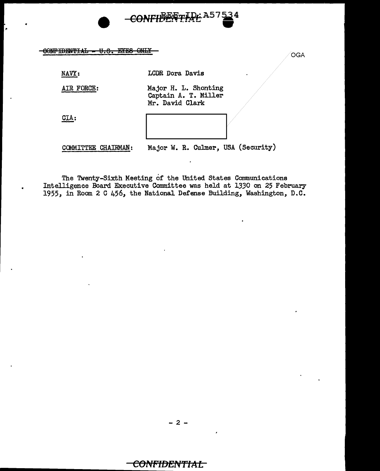

CONFIDENTIAL - U.S. EYES ONLY

NAVY:

LCDR Dora Davis

AIR FORCE:

Major H. L. Shonting Captain A. T. Miller Mr. David Clark

CIA:



COMMITTEE CHAIRMAN:

Major W. R. Culmer, USA (Security)

OGA

The Twenty-Sixth Meeting of the United States Communications Intelligence Board Executive Committee was held at 1330 on 25 February 1955, in Room 2 C 456, the National Defense Building, Washington, D.C.

CONFIDENTIAL